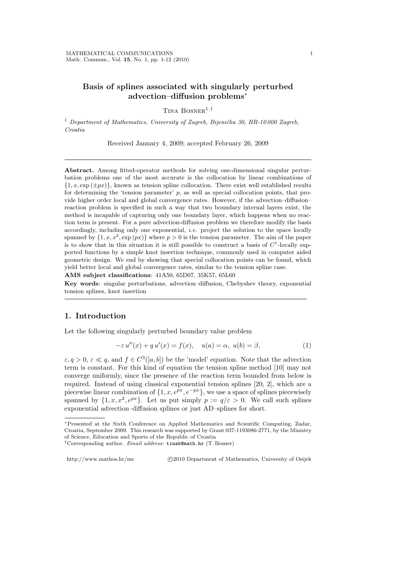## Basis of splines associated with singularly perturbed advection–diffusion problems<sup>∗</sup>

TINA BOSNER<sup>1,†</sup>

<sup>1</sup> Department of Mathematics, University of Zagreb, Bijenička 30, HR-10000 Zagreb, Croatia

Received January 4, 2009; accepted February 26, 2009

Abstract. Among fitted-operator methods for solving one-dimensional singular perturbation problems one of the most accurate is the collocation by linear combinations of  $\{1, x, \exp(\pm px)\}\$ , known as tension spline collocation. There exist well established results for determining the 'tension parameter'  $p$ , as well as special collocation points, that provide higher order local and global convergence rates. However, if the advection–diffusion– reaction problem is specified in such a way that two boundary internal layers exist, the method is incapable of capturing only one boundary layer, which happens when no reaction term is present. For a pure advection-diffusion problem we therefore modify the basis accordingly, including only one exponential, i.e. project the solution to the space locally spanned by  $\{1, x, x^2, \exp(px)\}\$  where  $p > 0$  is the tension parameter. The aim of the paper is to show that in this situation it is still possible to construct a basis of  $C<sup>1</sup>$ -locally supported functions by a simple knot insertion technique, commonly used in computer aided geometric design. We end by showing that special collocation points can be found, which yield better local and global convergence rates, similar to the tension spline case.

AMS subject classifications: 41A50, 65D07, 35K57, 65L60

Key words: singular perturbations, advection–diffusion, Chebyshev theory, exponential tension splines, knot insertion

## 1. Introduction

Let the following singularly perturbed boundary value problem

$$
-\varepsilon u''(x) + qu'(x) = f(x), \quad u(a) = \alpha, \ u(b) = \beta,
$$
 (1)

 $\varepsilon, q > 0, \varepsilon \ll q$ , and  $f \in C^3([a, b])$  be the 'model' equation. Note that the advection term is constant. For this kind of equation the tension spline method [10] may not converge uniformly, since the presence of the reaction term bounded from below is required. Instead of using classical exponential tension splines [20, 2], which are a piecewise linear combination of  $\{1, x, e^{px}, e^{-px}\}\$ , we use a space of splines piecewisely spanned by  $\{1, x, x^2, e^{px}\}\$ . Let us put simply  $p := q/\varepsilon > 0$ . We call such splines exponential advection–diffusion splines or just AD–splines for short.

http://www.mathos.hr/mc ©2010 Department of Mathematics, University of Osijek

<sup>∗</sup>Presented at the Sixth Conference on Applied Mathematics and Scientific Computing, Zadar, Croatia, September 2009. This research was supported by Grant 037-1193086-2771, by the Ministry of Science, Education and Sports of the Republic of Croatia

<sup>&</sup>lt;sup>†</sup>Corresponding author. *Email address:* tinab@math.hr (T. Bosner)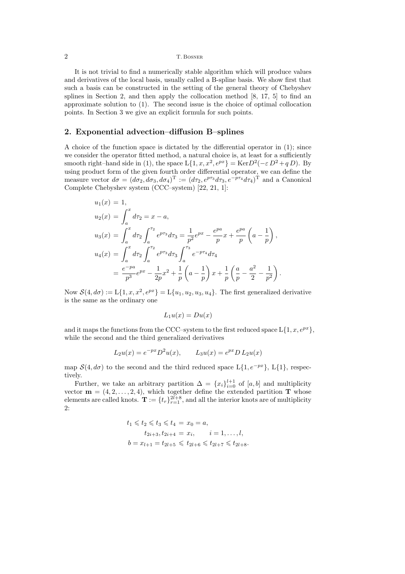2 T. Bosner

It is not trivial to find a numerically stable algorithm which will produce values and derivatives of the local basis, usually called a B-spline basis. We show first that such a basis can be constructed in the setting of the general theory of Chebyshev splines in Section 2, and then apply the collocation method [8, 17, 5] to find an approximate solution to (1). The second issue is the choice of optimal collocation points. In Section 3 we give an explicit formula for such points.

## 2. Exponential advection–diffusion B–splines

A choice of the function space is dictated by the differential operator in (1); since we consider the operator fitted method, a natural choice is, at least for a sufficiently smooth right–hand side in (1), the space  $L\{1, x, x^2, e^{px}\} = \text{Ker}D^2(-\varepsilon D^2 + qD)$ . By using product form of the given fourth order differential operator, we can define the measure vector  $d\sigma = (d\sigma_2, d\sigma_3, d\sigma_4)^T := (d\tau_2, e^{p\tau_3} d\tau_3, e^{-p\tau_4} d\tau_4)^T$  and a Canonical Complete Chebyshev system (CCC–system) [22, 21, 1]:

$$
u_1(x) = 1,
$$
  
\n
$$
u_2(x) = \int_a^x d\tau_2 = x - a,
$$
  
\n
$$
u_3(x) = \int_a^x d\tau_2 \int_a^{\tau_2} e^{p\tau_3} d\tau_3 = \frac{1}{p^2} e^{px} - \frac{e^{pa}}{p} x + \frac{e^{pa}}{p} \left( a - \frac{1}{p} \right),
$$
  
\n
$$
u_4(x) = \int_a^x d\tau_2 \int_a^{\tau_2} e^{p\tau_3} d\tau_3 \int_a^{\tau_3} e^{-p\tau_4} d\tau_4
$$
  
\n
$$
= \frac{e^{-pa}}{p^3} e^{px} - \frac{1}{2p} x^2 + \frac{1}{p} \left( a - \frac{1}{p} \right) x + \frac{1}{p} \left( \frac{a}{p} - \frac{a^2}{2} - \frac{1}{p^2} \right).
$$

Now  $\mathcal{S}(4, d\sigma) := L\{1, x, x^2, e^{px}\} = L\{u_1, u_2, u_3, u_4\}.$  The first generalized derivative is the same as the ordinary one

$$
L_1 u(x) = Du(x)
$$

and it maps the functions from the CCC–system to the first reduced space  $L\{1, x, e^{px}\},$ while the second and the third generalized derivatives

$$
L_2u(x) = e^{-px}D^2u(x), \qquad L_3u(x) = e^{px}D L_2u(x)
$$

map  $S(4, d\sigma)$  to the second and the third reduced space  $L\{1, e^{-px}\}, L\{1\}$ , respectively.

Further, we take an arbitrary partition  $\Delta = \{x_i\}_{i=0}^{l+1}$  of  $[a, b]$  and multiplicity vector  $\mathbf{m} = (4, 2, \ldots, 2, 4)$ , which together define the extended partition T whose elements are called knots.  $\mathbf{T} := \{t_r\}_{r=1}^{2l+8}$ , and all the interior knots are of multiplicity 2:

$$
t_1 \leq t_2 \leq t_3 \leq t_4 = x_0 = a,
$$
  
\n
$$
t_{2i+3}, t_{2i+4} = x_i, \quad i = 1, ..., l,
$$
  
\n
$$
b = x_{l+1} = t_{2l+5} \leq t_{2l+6} \leq t_{2l+7} \leq t_{2l+8}.
$$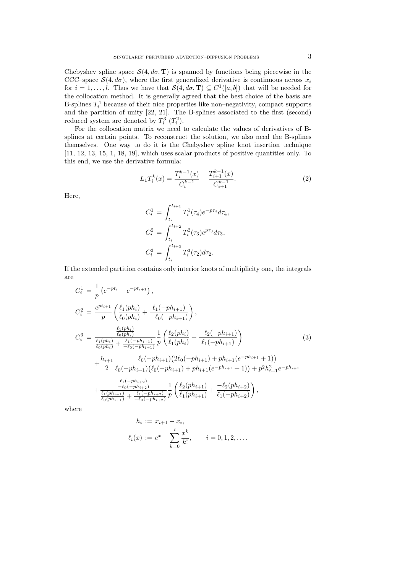Chebyshev spline space  $\mathcal{S}(4, d\sigma, \mathbf{T})$  is spanned by functions being piecewise in the CCC–space  $S(4, d\sigma)$ , where the first generalized derivative is continuous across  $x_i$ for  $i = 1, ..., l$ . Thus we have that  $\mathcal{S}(4, d\sigma, \mathbf{T}) \subseteq C^1([a, b])$  that will be needed for the collocation method. It is generally agreed that the best choice of the basis are B-splines  $T_i^4$  because of their nice properties like non-negativity, compact supports and the partition of unity [22, 21]. The B-splines associated to the first (second) reduced system are denoted by  $T_i^3$   $(T_i^2)$ .

For the collocation matrix we need to calculate the values of derivatives of Bsplines at certain points. To reconstruct the solution, we also need the B-splines themselves. One way to do it is the Chebyshev spline knot insertion technique [11, 12, 13, 15, 1, 18, 19], which uses scalar products of positive quantities only. To this end, we use the derivative formula:

$$
L_1 T_i^k(x) = \frac{T_i^{k-1}(x)}{C_i^{k-1}} - \frac{T_{i+1}^{k-1}(x)}{C_{i+1}^{k-1}}.
$$
\n
$$
(2)
$$

Here,

$$
C_i^1 = \int_{t_i}^{t_{i+1}} T_i^1(\tau_4) e^{-p\tau_4} d\tau_4,
$$
  
\n
$$
C_i^2 = \int_{t_i}^{t_{i+2}} T_i^2(\tau_3) e^{p\tau_3} d\tau_3,
$$
  
\n
$$
C_i^3 = \int_{t_i}^{t_{i+3}} T_i^3(\tau_2) d\tau_2.
$$

If the extended partition contains only interior knots of multiplicity one, the integrals are

$$
C_{i}^{1} = \frac{1}{p} \left( e^{-pt_{i}} - e^{-pt_{i+1}} \right),
$$
\n
$$
C_{i}^{2} = \frac{e^{pt_{i+1}}}{p} \left( \frac{\ell_{1}(ph_{i})}{\ell_{0}(ph_{i})} + \frac{\ell_{1}(-ph_{i+1})}{-\ell_{0}(-ph_{i+1})} \right),
$$
\n
$$
C_{i}^{3} = \frac{\frac{\ell_{1}(ph_{i})}{\ell_{0}(ph_{i})}}{\frac{\ell_{1}(ph_{i})}{\ell_{0}(ph_{i})} + \frac{\ell_{1}(-ph_{i+1})}{-\ell_{0}(-ph_{i+1})}} \frac{1}{p} \left( \frac{\ell_{2}(ph_{i})}{\ell_{1}(ph_{i})} + \frac{-\ell_{2}(-ph_{i+1})}{\ell_{1}(-ph_{i+1})} \right)
$$
\n
$$
+ \frac{h_{i+1}}{2} \frac{\ell_{0}(-ph_{i+1})(2\ell_{0}(-ph_{i+1}) + ph_{i+1}(e^{-ph_{i+1}} + 1))}{\ell_{0}(-ph_{i+1})(\ell_{0}(-ph_{i+1}) + ph_{i+1}(e^{-ph_{i+1}} + 1))} + p^{2}h_{i+1}^{2}e^{-ph_{i+1}}
$$
\n
$$
+ \frac{\frac{\ell_{1}(-ph_{i+2})}{\ell_{0}(-ph_{i+2})}}{\ell_{0}(ph_{i+1})} + \frac{\frac{\ell_{1}(-ph_{i+2})}{\ell_{0}(ph_{i+2})}}{\ell_{0}(ph_{i+1})} \frac{1}{p} \left( \frac{\ell_{2}(ph_{i+1})}{\ell_{1}(ph_{i+1})} + \frac{-\ell_{2}(ph_{i+2})}{\ell_{1}(-ph_{i+2})} \right),
$$
\n(3)

where

$$
h_i := x_{i+1} - x_i,
$$
  

$$
\ell_i(x) := e^x - \sum_{k=0}^i \frac{x^k}{k!}, \qquad i = 0, 1, 2, \dots.
$$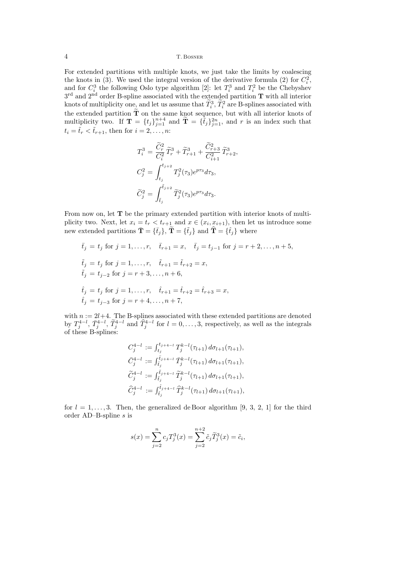4 T. Bosner

For extended partitions with multiple knots, we just take the limits by coalescing the knots in (3). We used the integral version of the derivative formula (2) for  $C_i^2$ , and for  $C_i^3$  the following Oslo type algorithm [2]: let  $T_i^3$  and  $T_i^2$  be the Chebyshev  $3<sup>rd</sup>$  and  $2<sup>nd</sup>$  order B-spline associated with the extended partition **T** with all interior knots of multiplicity one, and let us assume that  $\tilde{T}_i^3$ ,  $\tilde{T}_i^2$  are B-splines associated with the extended partition  $\tilde{T}$  on the same knot sequence, but with all interior knots of multiplicity two. If  $\mathbf{T} = \{t_j\}_{j=1}^{n+4}$  and  $\widetilde{\mathbf{T}} = \{\widetilde{t}_j\}_{j=1}^{2n}$ , and r is an index such that  $t_i = \tilde{t}_r < \tilde{t}_{r+1}$ , then for  $i = 2, \ldots, n$ :

$$
T_i^3 = \frac{\tilde{C}_r^2}{C_i^2} \tilde{T}_r^3 + \tilde{T}_{r+1}^3 + \frac{\tilde{C}_{r+3}^2}{C_{i+1}^2} \tilde{T}_{r+2}^3,
$$
  
\n
$$
C_j^2 = \int_{t_j}^{t_{j+2}} T_j^2(\tau_3) e^{p\tau_3} d\tau_3,
$$
  
\n
$$
\tilde{C}_j^2 = \int_{\tilde{t}_j}^{\tilde{t}_{j+2}} \tilde{T}_j^2(\tau_3) e^{p\tau_3} d\tau_3.
$$

From now on, let T be the primary extended partition with interior knots of multiplicity two. Next, let  $x_i = t_r < t_{r+1}$  and  $x \in (x_i, x_{i+1})$ , then let us introduce some new extended partitions  $\bar{\mathbf{T}} = {\bar{t}_j}$ ,  $\tilde{\mathbf{T}} = {\bar{t}_j}$  and  $\hat{\mathbf{T}} = {\bar{t}_j}$  where

$$
\bar{t}_j = t_j \text{ for } j = 1, \dots, r, \quad \bar{t}_{r+1} = x, \quad \bar{t}_j = t_{j-1} \text{ for } j = r+2, \dots, n+5,
$$
  
\n
$$
\tilde{t}_j = t_j \text{ for } j = 1, \dots, r, \quad \tilde{t}_{r+1} = \tilde{t}_{r+2} = x,
$$
  
\n
$$
\tilde{t}_j = t_{j-2} \text{ for } j = r+3, \dots, n+6,
$$
  
\n
$$
\hat{t}_j = t_j \text{ for } j = 1, \dots, r, \quad \hat{t}_{r+1} = \hat{t}_{r+2} = \hat{t}_{r+3} = x,
$$
  
\n
$$
\hat{t}_j = t_{j-3} \text{ for } j = r+4, \dots, n+7,
$$

with  $n := 2l+4$ . The B-splines associated with these extended partitions are denoted by  $T_j^{4-l}$ ,  $\bar{T}_j^{4-l}$ ,  $\tilde{T}_j^{4-l}$  and  $\hat{T}_j^{4-l}$  for  $l = 0, \ldots, 3$ , respectively, as well as the integrals of these B-splines:

$$
C_j^{4-l} := \int_{t_j}^{t_{j+4-l}} T_j^{k-l}(\tau_{l+1}) d\sigma_{l+1}(\tau_{l+1}),
$$
  
\n
$$
\bar{C}_j^{4-l} := \int_{\bar{t}_j}^{\bar{t}_{j+4-l}} \bar{T}_j^{k-l}(\tau_{l+1}) d\sigma_{l+1}(\tau_{l+1}),
$$
  
\n
$$
\tilde{C}_j^{4-l} := \int_{\tilde{t}_j}^{\tilde{t}_{j+4-l}} \tilde{T}_j^{k-l}(\tau_{l+1}) d\sigma_{l+1}(\tau_{l+1}),
$$
  
\n
$$
\hat{C}_j^{4-l} := \int_{\hat{t}_j}^{\hat{t}_{j+4-l}} \hat{T}_j^{k-l}(\tau_{l+1}) d\sigma_{l+1}(\tau_{l+1}),
$$

for  $l = 1, \ldots, 3$ . Then, the generalized de Boor algorithm [9, 3, 2, 1] for the third order AD–B-spline s is

$$
s(x) = \sum_{j=2}^{n} c_j T_j^3(x) = \sum_{j=2}^{n+2} \tilde{c}_j \tilde{T}_j^3(x) = \tilde{c}_i,
$$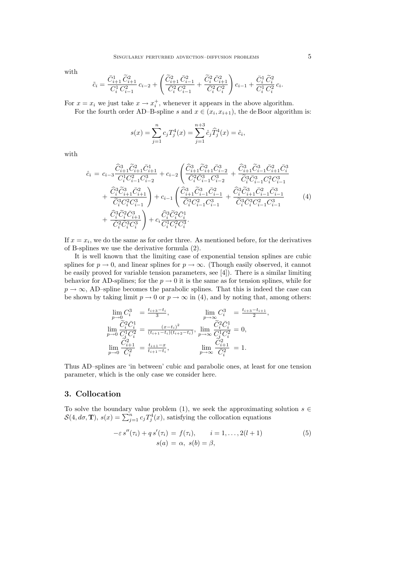with

$$
\tilde{c}_i = \frac{\bar{C}_{i+1}^1\, \widetilde{C}_{i+1}^2}{C_i^1\, C_{i-1}^2}\, c_{i-2} + \left(\frac{\widetilde{C}_{i+1}^2\, \bar{C}_{i-1}^2}{\bar{C}_i^2\, C_{i-1}^2} + \frac{\widetilde{C}_i^2\, \bar{C}_{i+1}^2}{\bar{C}_i^2\, C_i^2}\right) c_{i-1} + \frac{\bar{C}_i^1\, \widetilde{C}_i^2}{C_i^1\, C_i^2}\, c_i.
$$

For  $x = x_i$  we just take  $x \to x_i^+$ , whenever it appears in the above algorithm.

For the fourth order AD–B-spline s and  $x \in (x_i, x_{i+1})$ , the de Boor algorithm is:

$$
s(x) = \sum_{j=1}^{n} c_j T_j^4(x) = \sum_{j=1}^{n+3} \hat{c}_j \hat{T}_j^4(x) = \hat{c}_i,
$$

with

$$
\begin{split}\n\hat{c}_{i} &= c_{i-3} \frac{\hat{C}_{i+1}^{3} \tilde{C}_{i+1}^{2} \bar{C}_{i+1}^{1}}{C_{i}^{1} C_{i-1}^{2} C_{i-2}^{3}} + c_{i-2} \left( \frac{\hat{C}_{i+1}^{3} \tilde{C}_{i+1}^{2} \bar{C}_{i-2}^{3}}{\bar{C}_{i}^{2} \bar{C}_{i-1}^{3} C_{i-2}^{3}} + \frac{\hat{C}_{i+1}^{3} \tilde{C}_{i-1}^{3} \bar{C}_{i+1}^{2} \bar{C}_{i}^{3}}{\tilde{C}_{i}^{3} \bar{C}_{i-1}^{3} C_{i-1}^{2} C_{i-1}^{3}} + \frac{\hat{C}_{i}^{3} \tilde{C}_{i+1}^{3} \tilde{C}_{i+1}^{2} \bar{C}_{i+1}^{3}}{\tilde{C}_{i}^{3} C_{i}^{2} C_{i-1}^{3}} + \frac{\hat{C}_{i}^{3} \tilde{C}_{i+1}^{3} \bar{C}_{i-1}^{2} \bar{C}_{i-1}^{3}}{\tilde{C}_{i}^{3} C_{i}^{2} C_{i-1}^{3}} + \frac{\hat{C}_{i}^{3} \tilde{C}_{i}^{3} \bar{C}_{i+1}^{3} \bar{C}_{i-1}^{2} \bar{C}_{i-1}^{3}}{\tilde{C}_{i}^{3} \bar{C}_{i}^{3} C_{i-1}^{2} C_{i-1}^{3}} + \frac{\hat{C}_{i}^{3} \tilde{C}_{i}^{2} \bar{C}_{i+1}^{3}}{\tilde{C}_{i}^{3} \bar{C}_{i}^{3} C_{i-1}^{3}} + \frac{\hat{C}_{i}^{3} \tilde{C}_{i}^{2} \bar{C}_{i+1}^{3}}{\tilde{C}_{i}^{3} \bar{C}_{i}^{3} C_{i}^{3}} + c_{i} \frac{\hat{C}_{i}^{3} \tilde{C}_{i}^{2} \bar{C}_{i}^{1}}{\tilde{C}_{i}^{1} \bar{C}_{i}^{2} \tilde{C}_{i}^{3}}.\n\end{split} \tag{4}
$$

If  $x = x_i$ , we do the same as for order three. As mentioned before, for the derivatives of B-splines we use the derivative formula (2).

It is well known that the limiting case of exponential tension splines are cubic splines for  $p \to 0$ , and linear splines for  $p \to \infty$ . (Though easily observed, it cannot be easily proved for variable tension parameters, see [4]). There is a similar limiting behavior for AD-splines; for the  $p \to 0$  it is the same as for tension splines, while for  $p \rightarrow \infty$ , AD–spline becomes the parabolic splines. That this is indeed the case can be shown by taking limit  $p \to 0$  or  $p \to \infty$  in (4), and by noting that, among others:

$$
\lim_{p \to 0} C_i^3 = \frac{t_{i+3} - t_i}{3}, \qquad \lim_{p \to \infty} C_i^3 = \frac{t_{i+3} - t_{i+1}}{2},
$$
  
\n
$$
\lim_{p \to 0} \frac{\widetilde{C}_i^2 \bar{C}_i^1}{C_i^1 C_i^2} = \frac{(x - t_i)^2}{(t_{i+1} - t_i)(t_{i+2} - t_i)}, \qquad \lim_{p \to \infty} \frac{\widetilde{C}_i^2 \bar{C}_i^1}{C_i^1 C_i^2} = 0,
$$
  
\n
$$
\lim_{p \to 0} \frac{\widetilde{C}_{i+1}^2}{\bar{C}_i^2} = \frac{t_{i+1} - x}{t_{i+1} - t_i}, \qquad \lim_{p \to \infty} \frac{\widetilde{C}_{i+1}^2}{\bar{C}_i^2} = 1.
$$

Thus AD–splines are 'in between' cubic and parabolic ones, at least for one tension parameter, which is the only case we consider here.

## 3. Collocation

To solve the boundary value problem (1), we seek the approximating solution  $s \in S(4, d\sigma, \mathbf{T})$ ,  $s(x) = \sum_{j=1}^{n} c_j T_j^4(x)$ , satisfying the collocation equations

$$
-\varepsilon s''(\tau_i) + qs'(\tau_i) = f(\tau_i), \qquad i = 1, \dots, 2(l+1)
$$
  

$$
s(a) = \alpha, s(b) = \beta,
$$
 (5)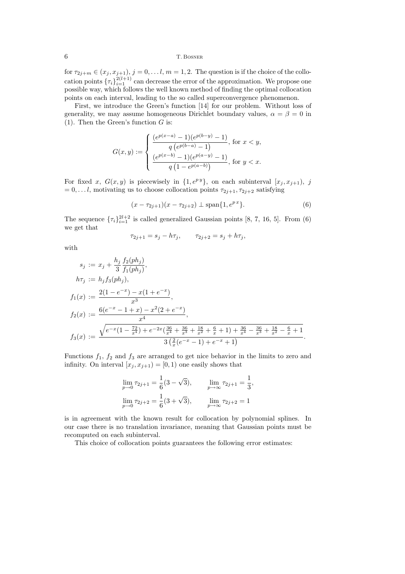## 6 T. Bosner

for  $\tau_{2j+m} \in (x_j, x_{j+1}), j = 0, \ldots, l, m = 1, 2$ . The question is if the choice of the collocation points  ${\{\tau_i\}}_{i=1}^{2(l+1)}$  can decrease the error of the approximation. We propose one possible way, which follows the well known method of finding the optimal collocation points on each interval, leading to the so called superconvergence phenomenon.

First, we introduce the Green's function [14] for our problem. Without loss of generality, we may assume homogeneous Dirichlet boundary values,  $\alpha = \beta = 0$  in (1). Then the Green's function  $G$  is:

$$
G(x,y):=\left\{\begin{aligned} &\frac{(e^{p(x-a)}-1)(e^{p(b-y)}-1)}{q\left(e^{p(b-a)}-1\right)},\ {\rm for}\ x
$$

For fixed x,  $G(x, y)$  is piecewisely in  $\{1, e^{py}\}$ , on each subinterval  $[x_j, x_{j+1}), j$  $= 0, \ldots l$ , motivating us to choose collocation points  $\tau_{2j+1}, \tau_{2j+2}$  satisfying

$$
(x - \tau_{2j+1})(x - \tau_{2j+2}) \perp \text{span}\{1, e^{px}\}.
$$
 (6)

The sequence  ${\lbrace \tau_i \rbrace}_{i=1}^{2l+2}$  is called generalized Gaussian points [8, 7, 16, 5]. From (6) we get that

$$
\tau_{2j+1} = s_j - h\tau_j, \qquad \tau_{2j+2} = s_j + h\tau_j,
$$

with

$$
s_j := x_j + \frac{h_j}{3} \frac{f_2(ph_j)}{f_1(ph_j)},
$$
  
\n
$$
h\tau_j := h_j f_3(ph_j),
$$
  
\n
$$
f_1(x) := \frac{2(1 - e^{-x}) - x(1 + e^{-x})}{x^3},
$$
  
\n
$$
f_2(x) := \frac{6(e^{-x} - 1 + x) - x^2(2 + e^{-x})}{x^4},
$$
  
\n
$$
f_3(x) := \frac{\sqrt{e^{-x}(1 - \frac{72}{x^4}) + e^{-2x}(\frac{36}{x^4} + \frac{36}{x^3} + \frac{18}{x^2} + \frac{6}{x} + 1) + \frac{36}{x^4} - \frac{36}{x^3} + \frac{18}{x^2} - \frac{6}{x} + 1}{3(\frac{2}{x}(e^{-x} - 1) + e^{-x} + 1)}.
$$

Functions  $f_1$ ,  $f_2$  and  $f_3$  are arranged to get nice behavior in the limits to zero and infinity. On interval  $[x_j, x_{j+1}) = [0, 1)$  one easily shows that

$$
\lim_{p \to 0} \tau_{2j+1} = \frac{1}{6} (3 - \sqrt{3}), \qquad \lim_{p \to \infty} \tau_{2j+1} = \frac{1}{3},
$$
  

$$
\lim_{p \to 0} \tau_{2j+2} = \frac{1}{6} (3 + \sqrt{3}), \qquad \lim_{p \to \infty} \tau_{2j+2} = 1
$$

is in agreement with the known result for collocation by polynomial splines. In our case there is no translation invariance, meaning that Gaussian points must be recomputed on each subinterval.

This choice of collocation points guarantees the following error estimates: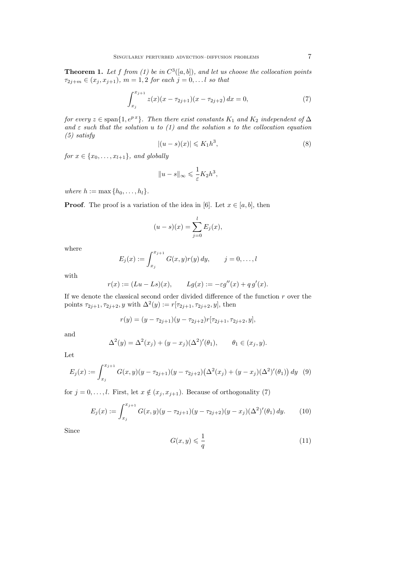**Theorem 1.** Let f from (1) be in  $C^3([a, b])$ , and let us choose the collocation points  $\tau_{2j+m} \in (x_j, x_{j+1}), m = 1, 2 \text{ for each } j = 0, \ldots l \text{ so that}$ 

$$
\int_{x_j}^{x_{j+1}} z(x)(x - \tau_{2j+1})(x - \tau_{2j+2}) dx = 0,
$$
\n(7)

for every  $z \in \text{span}\{1, e^{px}\}\$ . Then there exist constants  $K_1$  and  $K_2$  independent of  $\Delta$ and  $\varepsilon$  such that the solution u to (1) and the solution s to the collocation equation (5) satisfy

$$
|(u-s)(x)| \leqslant K_1 h^3,\tag{8}
$$

for  $x \in \{x_0, \ldots, x_{l+1}\},$  and globally

$$
||u-s||_{\infty} \leqslant \frac{1}{\varepsilon} K_2 h^3,
$$

where  $h := \max\{h_0, \ldots, h_l\}.$ 

**Proof.** The proof is a variation of the idea in [6]. Let  $x \in [a, b]$ , then

$$
(u - s)(x) = \sum_{j=0}^{l} E_j(x),
$$

where

$$
E_j(x) := \int_{x_j}^{x_{j+1}} G(x, y) r(y) \, dy, \qquad j = 0, \dots, l
$$

with

$$
r(x) := (Lu - Ls)(x),
$$
  $Lg(x) := -\varepsilon g''(x) + q g'(x).$ 

If we denote the classical second order divided difference of the function  $r$  over the points  $\tau_{2j+1}, \tau_{2j+2}, y$  with  $\Delta^2(y) := r[\tau_{2j+1}, \tau_{2j+2}, y]$ , then

$$
r(y) = (y - \tau_{2j+1})(y - \tau_{2j+2})r[\tau_{2j+1}, \tau_{2j+2}, y],
$$

and

$$
\Delta^{2}(y) = \Delta^{2}(x_{j}) + (y - x_{j})(\Delta^{2})'(\theta_{1}), \qquad \theta_{1} \in (x_{j}, y).
$$

Let

$$
E_j(x) := \int_{x_j}^{x_{j+1}} G(x, y)(y - \tau_{2j+1})(y - \tau_{2j+2}) (\Delta^2(x_j) + (y - x_j)(\Delta^2)'(\theta_1)) dy
$$
(9)

for  $j = 0, \ldots, l$ . First, let  $x \notin (x_j, x_{j+1})$ . Because of orthogonality (7)

$$
E_j(x) := \int_{x_j}^{x_{j+1}} G(x, y)(y - \tau_{2j+1})(y - \tau_{2j+2})(y - x_j)(\Delta^2)'(\theta_1) dy.
$$
 (10)

Since

$$
G(x,y) \leqslant \frac{1}{q} \tag{11}
$$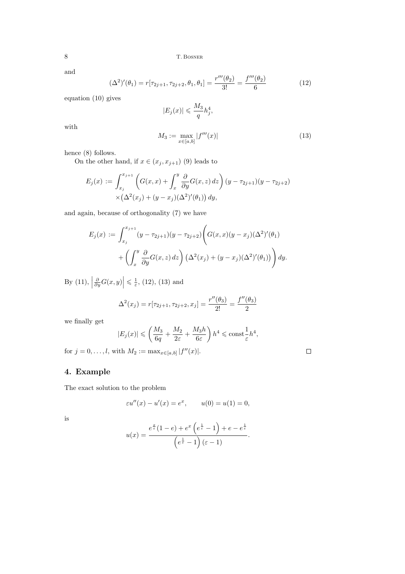8 T. BOSNER

and

$$
(\Delta^2)'(\theta_1) = r[\tau_{2j+1}, \tau_{2j+2}, \theta_1, \theta_1] = \frac{r'''(\theta_2)}{3!} = \frac{f'''(\theta_2)}{6}
$$
 (12)

equation (10) gives

$$
|E_j(x)| \leqslant \frac{M_3}{q} h_j^4,
$$

with

$$
M_3 := \max_{x \in [a,b]} |f'''(x)| \tag{13}
$$

 $\Box$ 

hence (8) follows.

On the other hand, if  $x \in (x_j, x_{j+1})$  (9) leads to

$$
E_j(x) := \int_{x_j}^{x_{j+1}} \left( G(x, x) + \int_x^y \frac{\partial}{\partial y} G(x, z) \, dz \right) (y - \tau_{2j+1})(y - \tau_{2j+2})
$$
  
 
$$
\times \left( \Delta^2(x_j) + (y - x_j)(\Delta^2)'(\theta_1) \right) dy,
$$

and again, because of orthogonality (7) we have

$$
E_j(x) := \int_{x_j}^{x_{j+1}} (y - \tau_{2j+1})(y - \tau_{2j+2}) \left( G(x, x)(y - x_j)(\Delta^2)'(\theta_1) + \left( \int_x^y \frac{\partial}{\partial y} G(x, z) \, dz \right) (\Delta^2(x_j) + (y - x_j)(\Delta^2)'(\theta_1)) \right) dy.
$$

By (11),  $\frac{\partial}{\partial y}G(x,y)$  $\left| \leqslant \frac{1}{\varepsilon}, (12), (13) \text{ and } \right|$ 

$$
\Delta^{2}(x_{j}) = r[\tau_{2j+1}, \tau_{2j+2}, x_{j}] = \frac{r''(\theta_{3})}{2!} = \frac{f''(\theta_{3})}{2}
$$

we finally get

$$
|E_j(x)| \leqslant \left(\frac{M_3}{6q} + \frac{M_2}{2\varepsilon} + \frac{M_3 h}{6\varepsilon}\right) h^4 \leqslant \text{const} \frac{1}{\varepsilon} h^4,
$$

for  $j = 0, ..., l$ , with  $M_2 := \max_{x \in [a, b]} |f''(x)|$ .

# 4. Example

The exact solution to the problem

$$
\varepsilon u''(x) - u'(x) = e^x
$$
,  $u(0) = u(1) = 0$ ,

is

$$
u(x) = \frac{e^{\frac{x}{\varepsilon}}(1-e) + e^x \left(e^{\frac{1}{\varepsilon}} - 1\right) + e - e^{\frac{1}{\varepsilon}}}{\left(e^{\frac{1}{\varepsilon}} - 1\right)(\varepsilon - 1)}.
$$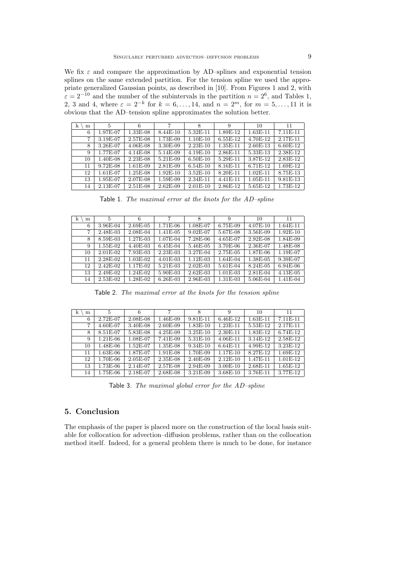We fix  $\varepsilon$  and compare the approximation by AD–splines and exponential tension splines on the same extended partition. For the tension spline we used the appropriate generalized Gaussian points, as described in [10]. From Figures 1 and 2, with  $\varepsilon = 2^{-10}$  and the number of the subintervals in the partition  $n = 2^6$ , and Tables 1, 2, 3 and 4, where  $\varepsilon = 2^{-k}$  for  $k = 6, ..., 14$ , and  $n = 2^m$ , for  $m = 5, ..., 11$  it is obvious that the AD–tension spline approximates the solution better.

| $\mathbf k$<br>m | 5          | 6          | 7          | 8          | 9          | 10         | 11         |
|------------------|------------|------------|------------|------------|------------|------------|------------|
| 6                | 1.97E-07   | 1.33E-08   | $8.44E-10$ | $5.32E-11$ | 1.89E-12   | $1.63E-11$ | $7.11E-11$ |
| 7                | 3.19E-07   | 2.57E-08   | $1.73E-09$ | 1.10E-10   | 6.55E-12   | 4.70E-12   | 2.17E-11   |
| 8                | 3.26E-07   | $4.06E-08$ | 3.30E-09   | 2.23E-10   | 1.35E-11   | 2.60E-13   | 6.60E-12   |
| 9                | 1.77E-07   | $4.14E-08$ | 5.14E-09   | $4.19E-10$ | 2.86E-11   | 5.33E-13   | 2.38E-12   |
| 10               | 1.40E-08   | 2.23E-08   | 5.21E-09   | 6.50E-10   | 5.29E-11   | 3.87E-12   | 2.83E-12   |
| 11               | $9.72E-08$ | $1.61E-09$ | 2.81E-09   | $6.54E-10$ | 8.16E-11   | 6.71E-12   | 1.69E-12   |
| 12               | 1.61E-07   | 1.25E-08   | 1.92E-10   | $3.52E-10$ | 8.20E-11   | $1.02E-11$ | 8.75E-13   |
| 13               | 1.95E-07   | 2.07E-08   | 1.59E-09   | 2.34E-11   | $4.41E-11$ | $1.05E-11$ | 9.81E-13   |
| 14               | 2.13E-07   | $2.51E-08$ | $2.62E-09$ | $2.01E-10$ | 2.86E-12   | 5.65E-12   | 1.73E-12   |

Table 1. The maximal error at the knots for the AD–spline

| k<br>m | 5          | 6        | 7          | 8          | 9          | 10       | 11         |
|--------|------------|----------|------------|------------|------------|----------|------------|
| 6      | 3.96E-04   | 2.69E-05 | 1.71E-06   | 1.08E-07   | 6.75E-09   | 4.07E-10 | $1.64E-11$ |
| 7      | 2.48E-03   | 2.08E-04 | 1.41E-05   | $9.02E-07$ | 5.67E-08   | 3.56E-09 | $1.92E-10$ |
| 8      | 8.59E-03   | 1.27E-03 | 1.07E-04   | 7.28E-06   | 4.65E-07   | 2.92E-08 | 1.84E-09   |
| 9      | 1.55E-02   | 4.40E-03 | $6.45E-04$ | 5.46E-05   | 3.70E-06   | 2.36E-07 | 1.48E-08   |
| 10     | $2.01E-02$ | 7.93E-03 | 2.23E-03   | 3.27E-04   | 2.75E-05   | 1.87E-06 | 1.19E-07   |
| 11     | 2.28E-02   | 1.03E-02 | $4.01E-03$ | $1.12E-03$ | 1.64E-04   | 1.38E-05 | 9.39E-07   |
| 12     | $2.42E-02$ | 1.17E-02 | 5.21E-03   | $2.02E-03$ | 5.61E-04   | 8.24E-05 | 6.94E-06   |
| 13     | 2.49E-02   | 1.24E-02 | 5.90E-03   | $2.62E-03$ | $1.01E-03$ | 2.81E-04 | 4.13E-05   |
| 14     | 2.53E-02   | 1.28E-02 | $6.26E-03$ | 2.96E-03   | 1.31E-03   | 5.06E-04 | 1.41E-04   |

Table 2. The maximal error at the knots for the tension spline

| k<br>m | 5          | 6        |             | 8          | 9          | 10         | 11         |
|--------|------------|----------|-------------|------------|------------|------------|------------|
| 6      | 2.72E-07   | 2.08E-08 | 1.46E-09    | $9.81E-11$ | $6.46E-12$ | $1.63E-11$ | $7.11E-11$ |
| 7      | 4.60E-07   | 3.40E-08 | 2.60E-09    | 1.83E-10   | 1.23E-11   | 5.53E-12   | 2.17E-11   |
| 8      | 8.51E-07   | 5.83E-08 | $4.25E-0.9$ | 3.25E-10   | 2.30E-11   | 1.83E-12   | 6.74E-12   |
| 9      | $1.21E-06$ | 1.08E-07 | $7.41E-0.9$ | 5.31E-10   | $4.06E-11$ | $3.14E-12$ | 2.58E-12   |
| 10     | 1.48E-06   | 1.52E-07 | 1.35E-08    | 9.34E-10   | $6.64E-11$ | 4.99E-12   | 3.23E-12   |
| 11     | $1.63E-06$ | 1.87E-07 | $1.91E-08$  | 1.70E-09   | $1.17E-10$ | 8.27E-12   | 1.69E-12   |
| 12     | 1.70E-06   | 2.05E-07 | 2.35E-08    | 2.40E-09   | $2.12E-10$ | 1.47E-11   | $1.01E-12$ |
| 13     | 1.73E-06   | 2.14E-07 | $2.57E-08$  | 2.94E-09   | $3.00E-10$ | 2.68E-11   | 1.65E-12   |
| 14     | $1.75E-06$ | 2.18E-07 | 2.68E-08    | 3.21E-09   | 3.68E-10   | 3.76E-11   | 3.77E-12   |

Table 3. The maximal global error for the AD–spline

## 5. Conclusion

The emphasis of the paper is placed more on the construction of the local basis suitable for collocation for advection–diffusion problems, rather than on the collocation method itself. Indeed, for a general problem there is much to be done, for instance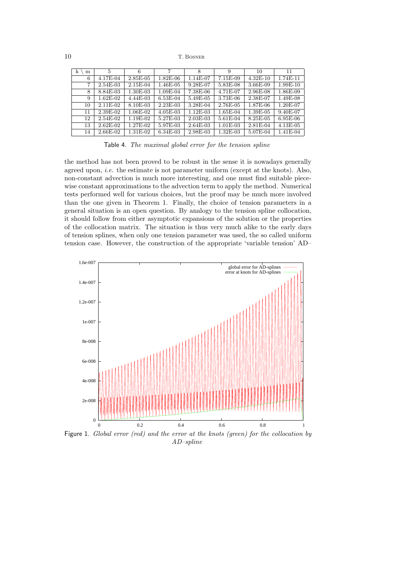10 T. BOSNER

| k<br>m | 5          |            |            | 8          | 9           | 10         | 11         |
|--------|------------|------------|------------|------------|-------------|------------|------------|
| 6      | 4.17E-04   | $2.85E-05$ | $1.82E-06$ | 1.14E-07   | 7.15E-09    | $4.32E-10$ | 1.74E-11   |
| 7      | 2.54E-03   | 2.15E-04   | $1.46E-05$ | 9.28E-07   | 5.83E-08    | 3.66E-09   | 1.99E-10   |
| 8      | 8.84E-03   | 1.30E-03   | 1.09E-04   | 7.38E-06   | 4.71E-07    | 2.96E-08   | 1.86E-09   |
| 9      | 1.62E-02   | $4.44E-03$ | 6.53E-04   | 5.49E-05   | 3.73E-06    | 2.38E-07   | 1.49E-08   |
| 10     | 2.11E-02   | 8.10E-03   | $2.23E-03$ | 3.28E-04   | 2.76E-05    | 1.87E-06   | 1.20E-07   |
| 11     | 2.39E-02   | 1.06E-02   | $4.05E-03$ | 1.12E-03   | $1.65E-04$  | 1.39E-05   | 9.40E-07   |
| 12     | 2.54E-02   | 1.19E-02   | 5.27E-03   | 2.03E-03   | 5.61E-04    | 8.25E-05   | 6.95E-06   |
| 13     | $2.62E-02$ | 1.27E-02   | 5.97E-03   | $2.64E-03$ | $1.01E-03$  | 2.81E-04   | $4.13E-05$ |
| 14     | 2.66E-02   | 1.31E-02   | $6.34E-03$ | 2.98E-03   | $1.32E-0.3$ | 5.07E-04   | $1.41E-04$ |

Table 4. The maximal global error for the tension spline

the method has not been proved to be robust in the sense it is nowadays generally agreed upon, *i.e.* the estimate is not parameter uniform (except at the knots). Also, non-constant advection is much more interesting, and one must find suitable piecewise constant approximations to the advection term to apply the method. Numerical tests performed well for various choices, but the proof may be much more involved than the one given in Theorem 1. Finally, the choice of tension parameters in a general situation is an open question. By analogy to the tension spline collocation, it should follow from either asymptotic expansions of the solution or the properties of the collocation matrix. The situation is thus very much alike to the early days of tension splines, when only one tension parameter was used, the so called uniform tension case. However, the construction of the appropriate 'variable tension' AD–



Figure 1. Global error (red) and the error at the knots (green) for the collocation by AD–spline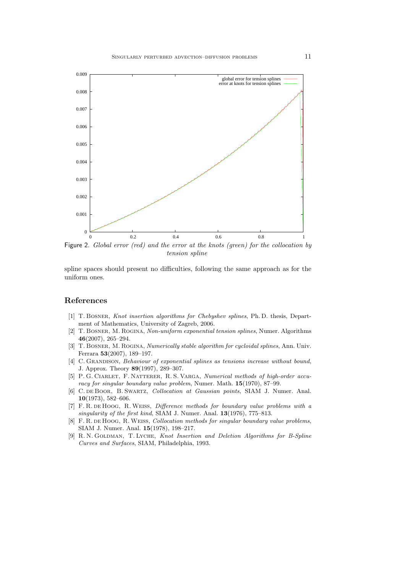

Figure 2. Global error (red) and the error at the knots (green) for the collocation by tension spline

spline spaces should present no difficulties, following the same approach as for the uniform ones.

## References

- [1] T. BOSNER, Knot insertion algorithms for Chebyshev splines, Ph.D. thesis, Department of Mathematics, University of Zagreb, 2006.
- [2] T. Bosner, M. Rogina, Non-uniform exponential tension splines, Numer. Algorithms 46(2007), 265–294.
- [3] T. BOSNER, M. ROGINA, Numerically stable algorithm for cycloidal splines, Ann. Univ. Ferrara 53(2007), 189–197.
- [4] C. GRANDISON, Behaviour of exponential splines as tensions increase without bound, J. Approx. Theory 89(1997), 289–307.
- [5] P. G. Ciarlet, F. Natterer, R. S. Varga, Numerical methods of high-order accuracy for singular boundary value problem, Numer. Math. 15(1970), 87–99.
- [6] C. de Boor, B. Swartz, Collocation at Gaussian points, SIAM J. Numer. Anal. 10(1973), 582–606.
- [7] F. R. de Hoog, R.Weiss, Difference methods for boundary value problems with a singularity of the first kind, SIAM J. Numer. Anal. 13(1976), 775–813.
- [8] F. R. de Hoog, R. Weiss, *Collocation methods for singular boundary value problems*, SIAM J. Numer. Anal. 15(1978), 198–217.
- [9] R. N. GOLDMAN, T. LYCHE, Knot Insertion and Deletion Algorithms for B-Spline Curves and Surfaces, SIAM, Philadelphia, 1993.